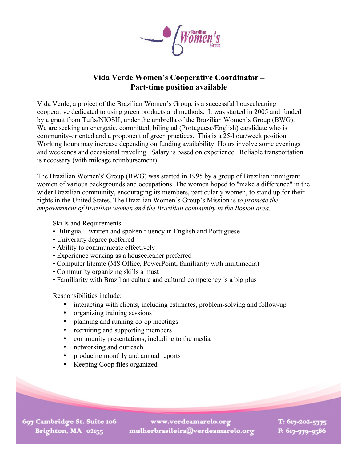

## **Vida Verde Women's Cooperative Coordinator – Part-time position available**

Vida Verde, a project of the Brazilian Women's Group, is a successful housecleaning cooperative dedicated to using green products and methods. It was started in 2005 and funded by a grant from Tufts/NIOSH, under the umbrella of the Brazilian Women's Group (BWG). We are seeking an energetic, committed, bilingual (Portuguese/English) candidate who is community-oriented and a proponent of green practices. This is a 25-hour/week position. Working hours may increase depending on funding availability. Hours involve some evenings and weekends and occasional traveling. Salary is based on experience. Reliable transportation is necessary (with mileage reimbursement).

The Brazilian Women's' Group (BWG) was started in 1995 by a group of Brazilian immigrant women of various backgrounds and occupations. The women hoped to "make a difference" in the wider Brazilian community, encouraging its members, particularly women, to stand up for their rights in the United States. The Brazilian Women's Group's Mission is *to promote the empowerment of Brazilian women and the Brazilian community in the Boston area.*

Skills and Requirements:

- Bilingual written and spoken fluency in English and Portuguese
- University degree preferred
- Ability to communicate effectively
- Experience working as a housecleaner preferred
- Computer literate (MS Office, PowerPoint, familiarity with multimedia)
- Community organizing skills a must
- Familiarity with Brazilian culture and cultural competency is a big plus

Responsibilities include:

- interacting with clients, including estimates, problem-solving and follow-up
- organizing training sessions
- planning and running co-op meetings
- recruiting and supporting members
- community presentations, including to the media
- networking and outreach
- producing monthly and annual reports
- Keeping Coop files organized

697 Cambridge St. Suite 106 Brighton, MA 02135

www.verdeamarelo.org mulherbrasileira@verdeamarelo.org